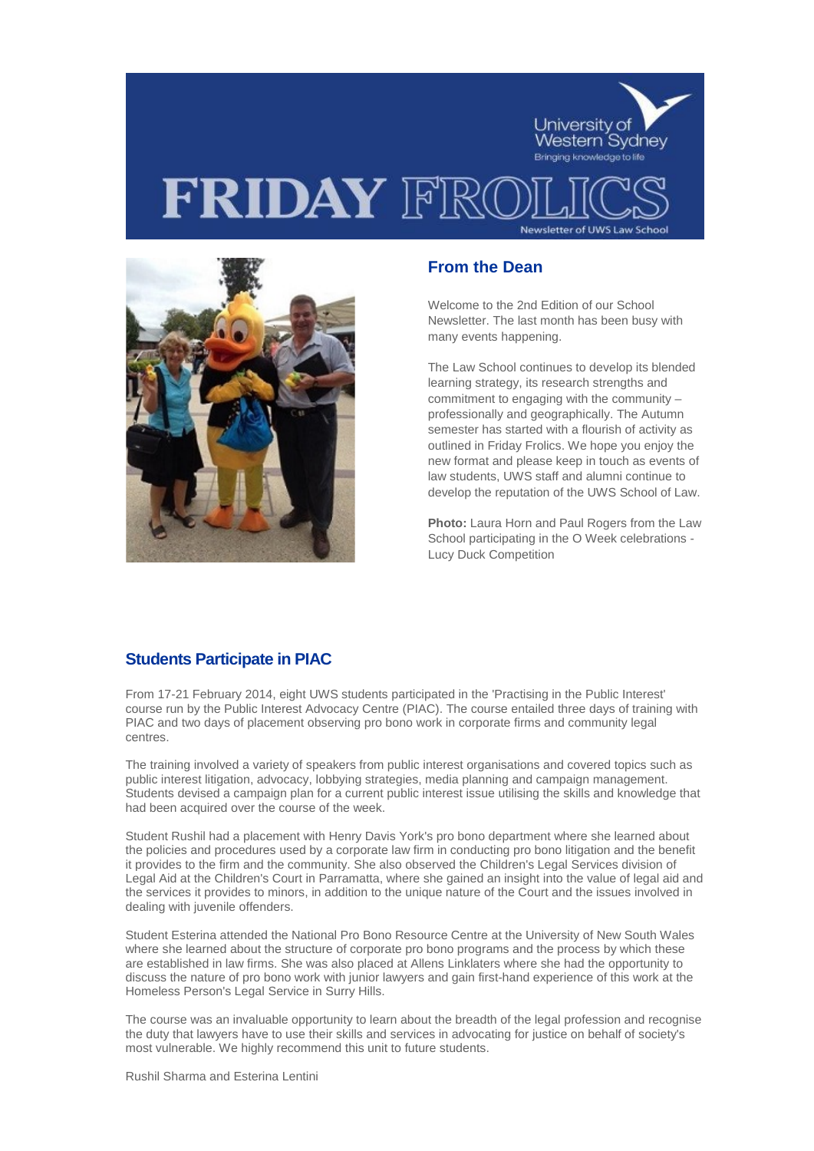



## **From the Dean**

Welcome to the 2nd Edition of our School Newsletter. The last month has been busy with many events happening.

The Law School continues to develop its blended learning strategy, its research strengths and commitment to engaging with the community – professionally and geographically. The Autumn semester has started with a flourish of activity as outlined in Friday Frolics. We hope you enjoy the new format and please keep in touch as events of law students, UWS staff and alumni continue to develop the reputation of the UWS School of Law.

**Photo:** Laura Horn and Paul Rogers from the Law School participating in the O Week celebrations - Lucy Duck Competition

## **Students Participate in PIAC**

From 17-21 February 2014, eight UWS students participated in the 'Practising in the Public Interest' course run by the Public Interest Advocacy Centre (PIAC). The course entailed three days of training with PIAC and two days of placement observing pro bono work in corporate firms and community legal centres.

The training involved a variety of speakers from public interest organisations and covered topics such as public interest litigation, advocacy, lobbying strategies, media planning and campaign management. Students devised a campaign plan for a current public interest issue utilising the skills and knowledge that had been acquired over the course of the week.

Student Rushil had a placement with Henry Davis York's pro bono department where she learned about the policies and procedures used by a corporate law firm in conducting pro bono litigation and the benefit it provides to the firm and the community. She also observed the Children's Legal Services division of Legal Aid at the Children's Court in Parramatta, where she gained an insight into the value of legal aid and the services it provides to minors, in addition to the unique nature of the Court and the issues involved in dealing with juvenile offenders.

Student Esterina attended the National Pro Bono Resource Centre at the University of New South Wales where she learned about the structure of corporate pro bono programs and the process by which these are established in law firms. She was also placed at Allens Linklaters where she had the opportunity to discuss the nature of pro bono work with junior lawyers and gain first-hand experience of this work at the Homeless Person's Legal Service in Surry Hills.

The course was an invaluable opportunity to learn about the breadth of the legal profession and recognise the duty that lawyers have to use their skills and services in advocating for justice on behalf of society's most vulnerable. We highly recommend this unit to future students.

Rushil Sharma and Esterina Lentini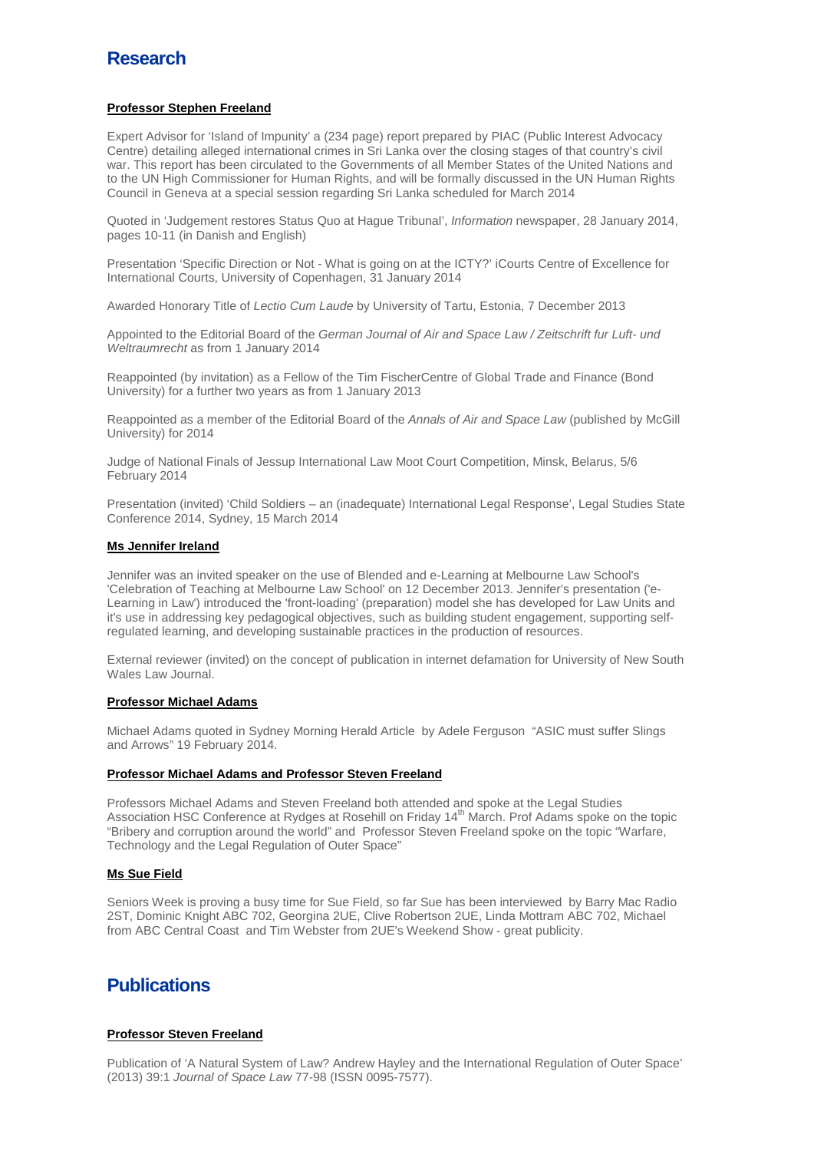# **Research**

## **Professor Stephen Freeland**

Expert Advisor for 'Island of Impunity' a (234 page) report prepared by PIAC (Public Interest Advocacy Centre) detailing alleged international crimes in Sri Lanka over the closing stages of that country's civil war. This report has been circulated to the Governments of all Member States of the United Nations and to the UN High Commissioner for Human Rights, and will be formally discussed in the UN Human Rights Council in Geneva at a special session regarding Sri Lanka scheduled for March 2014

Quoted in 'Judgement restores Status Quo at Hague Tribunal', *Information* newspaper, 28 January 2014, pages 10-11 (in Danish and English)

Presentation 'Specific Direction or Not - What is going on at the ICTY?' iCourts Centre of Excellence for International Courts, University of Copenhagen, 31 January 2014

Awarded Honorary Title of *Lectio Cum Laude* by University of Tartu, Estonia, 7 December 2013

Appointed to the Editorial Board of the *German Journal of Air and Space Law / Zeitschrift fur Luft- und Weltraumrecht* as from 1 January 2014

Reappointed (by invitation) as a Fellow of the Tim FischerCentre of Global Trade and Finance (Bond University) for a further two years as from 1 January 2013

Reappointed as a member of the Editorial Board of the *Annals of Air and Space Law* (published by McGill University) for 2014

Judge of National Finals of Jessup International Law Moot Court Competition, Minsk, Belarus, 5/6 February 2014

Presentation (invited) 'Child Soldiers – an (inadequate) International Legal Response', Legal Studies State Conference 2014, Sydney, 15 March 2014

## **Ms Jennifer Ireland**

Jennifer was an invited speaker on the use of Blended and e-Learning at Melbourne Law School's 'Celebration of Teaching at Melbourne Law School' on 12 December 2013. Jennifer's presentation ('e-Learning in Law') introduced the 'front-loading' (preparation) model she has developed for Law Units and it's use in addressing key pedagogical objectives, such as building student engagement, supporting selfregulated learning, and developing sustainable practices in the production of resources.

External reviewer (invited) on the concept of publication in internet defamation for University of New South Wales Law Journal.

## **Professor Michael Adams**

Michael Adams quoted in Sydney Morning Herald Article by Adele Ferguson "ASIC must suffer Slings and Arrows" 19 February 2014.

## **Professor Michael Adams and Professor Steven Freeland**

Professors Michael Adams and Steven Freeland both attended and spoke at the Legal Studies Association HSC Conference at Rydges at Rosehill on Friday 14<sup>th</sup> March. Prof Adams spoke on the topic "Bribery and corruption around the world" and Professor Steven Freeland spoke on the topic "Warfare, Technology and the Legal Regulation of Outer Space"

## **Ms Sue Field**

Seniors Week is proving a busy time for Sue Field, so far Sue has been interviewed by Barry Mac Radio 2ST, Dominic Knight ABC 702, Georgina 2UE, Clive Robertson 2UE, Linda Mottram ABC 702, Michael from ABC Central Coast and Tim Webster from 2UE's Weekend Show - great publicity.

# **Publications**

## **Professor Steven Freeland**

Publication of 'A Natural System of Law? Andrew Hayley and the International Regulation of Outer Space' (2013) 39:1 *Journal of Space Law* 77-98 (ISSN 0095-7577).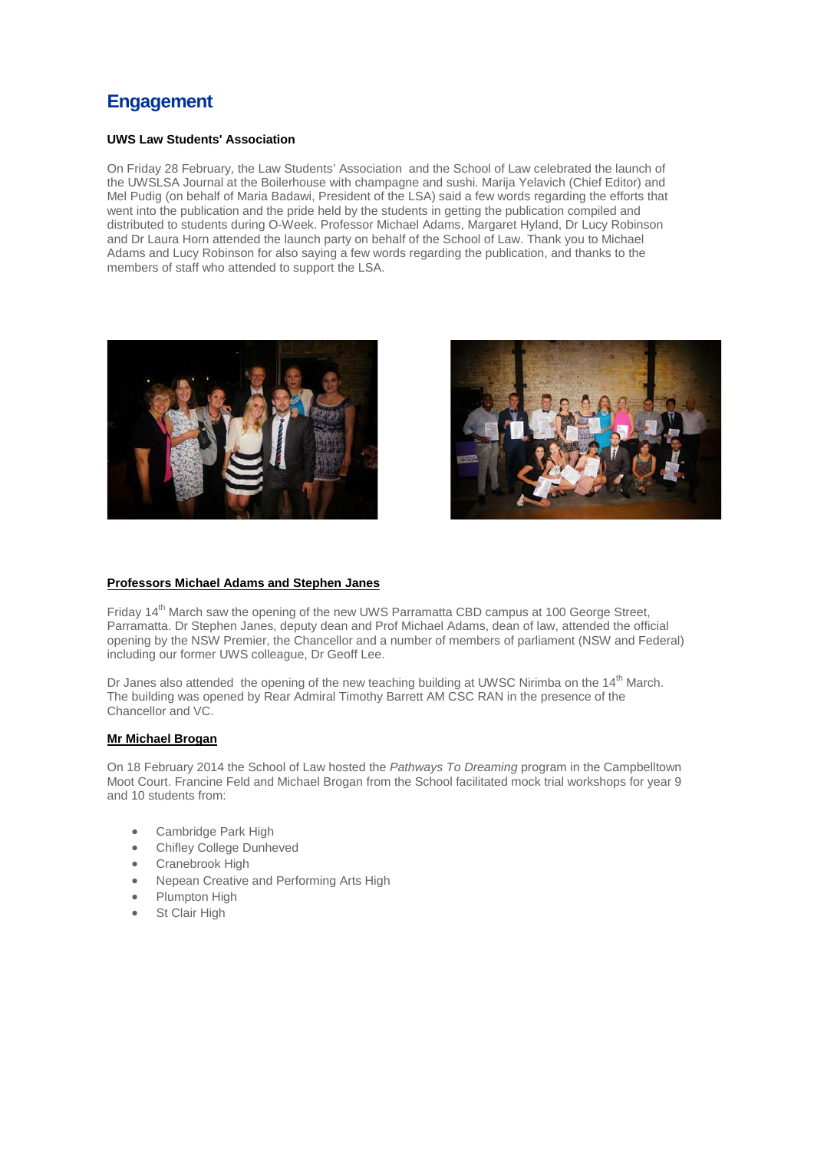# **Engagement**

## **UWS Law Students' Association**

On Friday 28 February, the Law Students' Association and the School of Law celebrated the launch of the UWSLSA Journal at the Boilerhouse with champagne and sushi. Marija Yelavich (Chief Editor) and Mel Pudig (on behalf of Maria Badawi, President of the LSA) said a few words regarding the efforts that went into the publication and the pride held by the students in getting the publication compiled and distributed to students during O-Week. Professor Michael Adams, Margaret Hyland, Dr Lucy Robinson and Dr Laura Horn attended the launch party on behalf of the School of Law. Thank you to Michael Adams and Lucy Robinson for also saying a few words regarding the publication, and thanks to the members of staff who attended to support the LSA.





## **Professors Michael Adams and Stephen Janes**

Friday 14<sup>th</sup> March saw the opening of the new UWS Parramatta CBD campus at 100 George Street. Parramatta. Dr Stephen Janes, deputy dean and Prof Michael Adams, dean of law, attended the official opening by the NSW Premier, the Chancellor and a number of members of parliament (NSW and Federal) including our former UWS colleague, Dr Geoff Lee.

Dr Janes also attended the opening of the new teaching building at UWSC Nirimba on the 14<sup>th</sup> March. The building was opened by Rear Admiral Timothy Barrett AM CSC RAN in the presence of the Chancellor and VC.

## **Mr Michael Brogan**

On 18 February 2014 the School of Law hosted the *Pathways To Dreaming* program in the Campbelltown Moot Court. Francine Feld and Michael Brogan from the School facilitated mock trial workshops for year 9 and 10 students from:

- Cambridge Park High
- Chifley College Dunheved
- Cranebrook High
- Nepean Creative and Performing Arts High
- Plumpton High
- **St Clair High**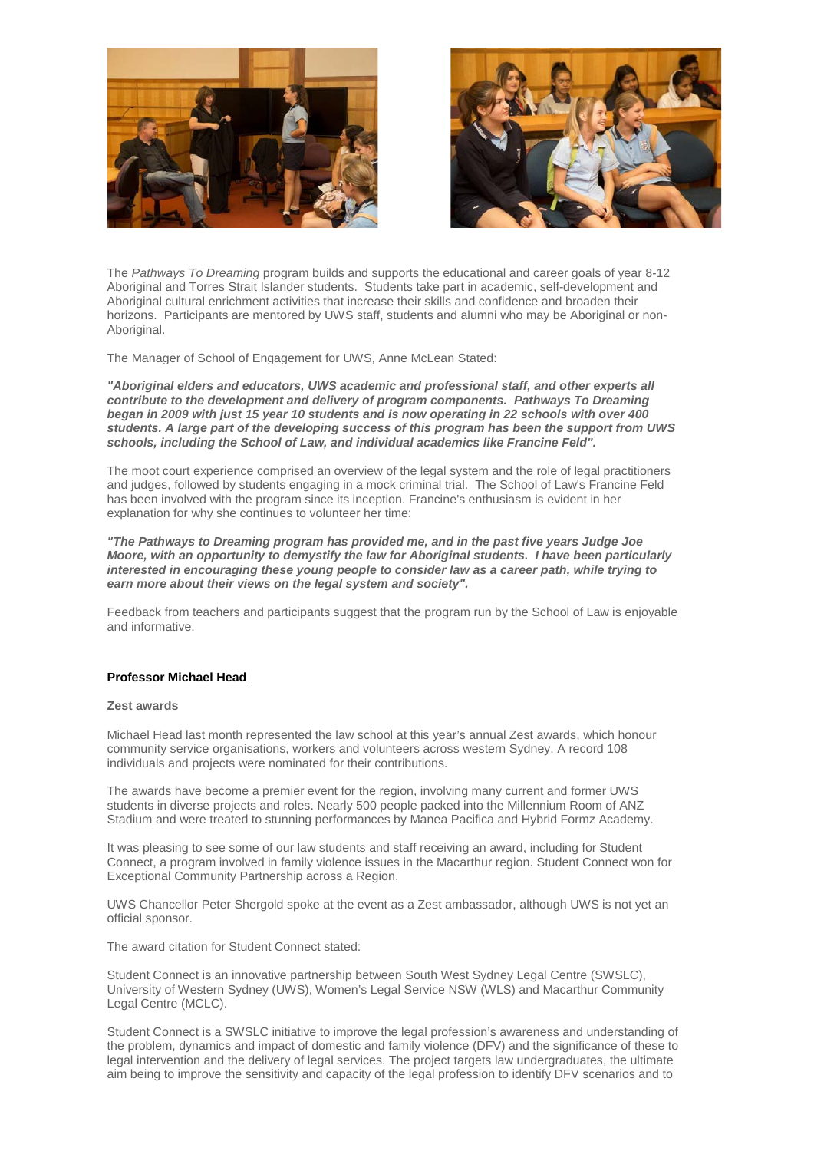



The *Pathways To Dreaming* program builds and supports the educational and career goals of year 8-12 Aboriginal and Torres Strait Islander students. Students take part in academic, self-development and Aboriginal cultural enrichment activities that increase their skills and confidence and broaden their horizons. Participants are mentored by UWS staff, students and alumni who may be Aboriginal or non-Aboriginal.

The Manager of School of Engagement for UWS, Anne McLean Stated:

*"Aboriginal elders and educators, UWS academic and professional staff, and other experts all contribute to the development and delivery of program components. Pathways To Dreaming began in 2009 with just 15 year 10 students and is now operating in 22 schools with over 400 students. A large part of the developing success of this program has been the support from UWS schools, including the School of Law, and individual academics like Francine Feld".*

The moot court experience comprised an overview of the legal system and the role of legal practitioners and judges, followed by students engaging in a mock criminal trial. The School of Law's Francine Feld has been involved with the program since its inception. Francine's enthusiasm is evident in her explanation for why she continues to volunteer her time:

*"The Pathways to Dreaming program has provided me, and in the past five years Judge Joe Moore, with an opportunity to demystify the law for Aboriginal students. I have been particularly interested in encouraging these young people to consider law as a career path, while trying to earn more about their views on the legal system and society".*

Feedback from teachers and participants suggest that the program run by the School of Law is enjoyable and informative.

#### **Professor Michael Head**

#### **Zest awards**

Michael Head last month represented the law school at this year's annual Zest awards, which honour community service organisations, workers and volunteers across western Sydney. A record 108 individuals and projects were nominated for their contributions.

The awards have become a premier event for the region, involving many current and former UWS students in diverse projects and roles. Nearly 500 people packed into the Millennium Room of ANZ Stadium and were treated to stunning performances by Manea Pacifica and Hybrid Formz Academy.

It was pleasing to see some of our law students and staff receiving an award, including for Student Connect, a program involved in family violence issues in the Macarthur region. Student Connect won for Exceptional Community Partnership across a Region.

UWS Chancellor Peter Shergold spoke at the event as a Zest ambassador, although UWS is not yet an official sponsor.

The award citation for Student Connect stated:

Student Connect is an innovative partnership between South West Sydney Legal Centre (SWSLC), University of Western Sydney (UWS), Women's Legal Service NSW (WLS) and Macarthur Community Legal Centre (MCLC).

Student Connect is a SWSLC initiative to improve the legal profession's awareness and understanding of the problem, dynamics and impact of domestic and family violence (DFV) and the significance of these to legal intervention and the delivery of legal services. The project targets law undergraduates, the ultimate aim being to improve the sensitivity and capacity of the legal profession to identify DFV scenarios and to